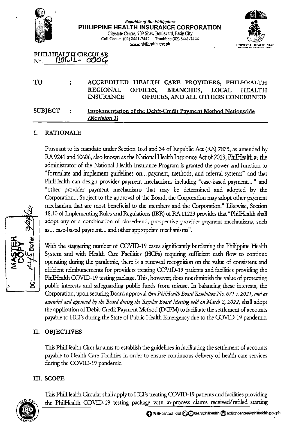|                            | <b>Republic of the Philippines</b><br>PHILIPPINE HEALTH INSURANCE CORPORATION<br>Citystate Centre, 709 Shaw Boulevard, Pasig City<br>Call Center (02) 8441-7442 Trunkline (02) 8441-7444<br>www.philhealth.gov.ph<br>Alusudan at sailrea para sa 13mai |
|----------------------------|--------------------------------------------------------------------------------------------------------------------------------------------------------------------------------------------------------------------------------------------------------|
| PHILHEALTH CIRCULAR<br>No. |                                                                                                                                                                                                                                                        |
| T <sub>O</sub>             | ACCREDITED HEALTH CARE PROVIDERS, PHILHEALTH<br><b>REGIONAL</b><br>OFFICES, BRANCHES,<br><b>LOCAL</b><br><b>HEALTH</b><br><b>INSURANCE</b><br>OFFICES, AND ALL OTHERS CONCERNED                                                                        |
| <b>SUBJECT</b>             | <b>Implementation of the Debit-Credit Payment Method Nationwide</b><br>(Revision 1)                                                                                                                                                                    |

#### I. RATIONALE

Pursuant to its mandate under Section 16.d and 34 of Republic Act (RA) 7875, as amended by RA 9241 and 10606, also known as the National Health Insurance Act of 2013, Phi!Health as the administrator of the National Health Insurance Program is granted the power and function to "formulate and implement guidelines on ... payment, methods, and referral systems" and that PhilHealth can design provider payment mechanisms including "case-based payment..." and "other provider payment mechanisms that may be determined and adopted by the Corporation... Subject to the approval of the Board, the Corporation may adopt other payment mechanism that are most beneficial to the members and the Corporation." Likewise, Section 18.10 of Implementing Rules and Regulations (IRR) of RA 11223 provides that "Phi!Health shall adopt any or a combination of closed-end, prospective provider payment mechanisms, such as... case-based payment... and other appropriate mechanisms".



#### II. OBJECTIVES

This Phi!Health Grcular aims to establish the guidelines in facilitating the settlement of accounts payable to Health Care Facilities in order to ensure continuous delivery of health care services during the COVID-19 pandemic.

#### Ill. SCOPE



This PhilHealth Circular shall apply to HCFs treating COVID-19 patients and facilities providing the PhilHealth COVID-19 testing package with in-process claims received/refiled starting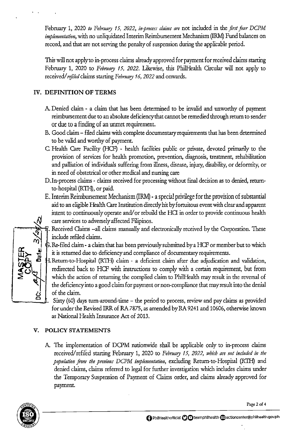February 1, 2020 *to February 15, 2022, in-process claims are* not included in the *first four DCPM implemmtation,* with no unliquidated Interim Reimbursement Mechanism (IRM) Fund balances on record, and that are not serving the penalty of suspension during the applicable period.

This will not applyto in-process claims already approved for payment for received claims starting February 1, 2020 to *Febmary 15, 2022.* Likewise, this Phi!Health Circular will not apply to received/ *rejiled* claims starting *February 16, 2022* and onwards.

# **IV. DEFINITION OF TERMS**

- A Denied claim a claim that has been determined to be invalid and unworthy of payment reimbursement due to an absolute deficiencythat cannot be remedied through return to sender or due to a finding of an unmet requirement.
- B. Good claim- filed claims with complete documentary requirements that has been determined to be valid and worthy of payment.
- C Health Care Facility (HCF) health facilities public or private, devoted primarily to the provision of services for health promotion, prevention, diagnosis, treatment, rehabilitation and palliation of individuals suffering from illness, disease, injury, disability, or deformity, or in need of obstetrical or other medical and nursing care
- D.In-process claims- claims received for processing without final decision as to denied, returnto-hospital (RTH}, or paid.
- E. Interim Reimbursement Mechanism (IRM) a special privilege for the provision of substantial aid to an eligible Health Care Institution direcdy hit by fortuitous event with clear and apparent intent to continuously operate and/ or rebuild the HQ in order to provide continuous health *!!}* care services to adversely affected Filipinos.

 $\overline{\pi}$ . Received Claims --all claims manually and electronically received by the Corporation. These include refiled claims.

 $\mathbb G.$  Re-filed claim - a claim that has been previously submitted by a HCF or member but to which it is returned due to deficiency and compliance of documentary requirements.

~ **4!:1** -I.Retum-to-Hospital (RTH} claim - a deficient claim after due adjudication and validation, redirected back to HCF with instructions to comply with a certain requirement, but from which the action of returning the complied claim to PhilHealth may result in the reversal of the deficiency into a good claim for payment ornon-compliance that mayresult into the denial of the claim.

 $J\rightleftharpoons$  Sixty (60) days turn-around-time – the period to process, review and pay claims as provided for under the Revised IRR of RA 7875, as amended by RA 9241 and 10606, otherwise known as National Health Insurance Act of 2013.

## **V. POLICY STATEMENTS**

A. The implementation of DCPM nationwide shall be applicable only to in-process claims received/ refiled starting Februaty 1, 2020 to *Febmary 15, 2022, wbicb are not included in the population from the previous DCPM implementation,* excluding Return-to-Hospital (RTH} and denied claims, claims referred to legal for further investigation which includes claims under the Temporary Suspension of Payment of daims order, and claims already approved for payment.



• , 1

.\_ \_\_\_ 0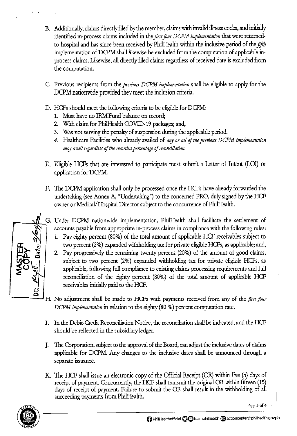- B. Additionally, claims directly filed bythe member, claims with invalid illness codes, and initially identified in-process claims included in the *first four DCPM implemmtation* that were returnedto-hospital and has since been received by Phi!Health within the inclusive period of the *fifth*  implementation of DCPM shall likewise be excluded from the computation of applicable inprocess claims. Likewise, all directly filed claims regardless of received date is excluded from the computation.
- C Previous recipients from the *previous DCPM implementation* shall be eligible to apply for the DCPM nationwide provided they meet the inclusion criteria.
- D. HCFs should meet the following criteria to be eligible for DCPM
	- 1. Must have no IRM Fund balance on record;
	- 2. With claim for Phi!Health COVID-19 packages; and,
	- 3. Was not serving the penalty of suspension during the applicable period.
	- 4. Healthcare Facilities who already availed of *any or all of the previous DCPM implementation may avail regardless of the recorded percentage of reconciliation.*
- E. Eligible HCFs that are interested to participate must submit a Letter of Intent (LOI) or application for DCPM
- F. The DCPM application shall only be processed once the HCFs have already forwarded the undertaking (see Annex A, "Undertaking") to the concerned PRO, duly signed by the HCF owner or MedicaVHospital Director subject to the concurrence of Phi!Health.



- G. Under DCPM nationwide implementation, PhilHealth shall facilitate the settlement of accounts payable from appropriate in-process claims in compliance with the following rules:
	- ~ 1. Pay eighty percent (80%) of the total amount of applicable HCF receivables subject to **a:** e; two percent (2%) expanded withholding tax for private eligible HCFs, as applicable; and,
	- 2. Pay progressively the remaining twenty percent (20%) of the amount of good claims, subject to two percent (2%) expanded withholding tax for private eligible HCFs, as applicable, following full compliance to existing claims processing requirements and full reconciliation of the eighty percent (80%) of the total amount of applicable HCF receivables initially paid to the HCF.
- H. No adjustment shall be made to HCFs with payments received from any of the *first four DCPM implementation* in relation to the eighty (80 %) percent computation rate.
- I. In the Debit-Credit Reconciliation Notice, the reconciliation shall be indicated, and the HCF should be reflected in the subsidiary ledger.
- J. The Corporation, subject to the approval of the Board, can adjust the inclusive dates of claims applicable for DCPM Any changes to the inclusive dates shall be announced through a separate issuance.
- K. The HCF shall issue an electronic copy of the Official Receipt (OR) within five (5) days of receipt of payment. Concurrently, the HCF shall transmit the original OR within fifteen (15) days of receipt of payment. Failure to submit the OR shall result in the withholding of all succeeding payments from PhilHealth.

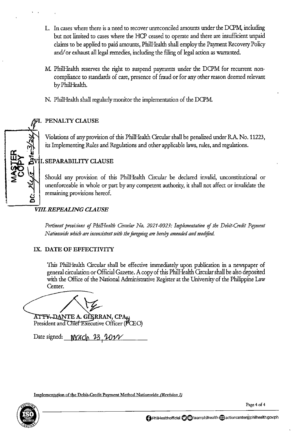- **L.** In cases where there is a need to recover unreconciled amounts under the DCPM, including but not limited to cases where the HCP ceased to operate and there are insufficient unpaid claims to be applied to paid amounts, Phi!Health shall employ the Payment Recovety Policy and/or exhaust all legal remedies, including the filing of legal action as warranted.
- M. PhilHealth reserves the right to suspend payments under the DCPM for recurrent noncompliance to standards of care, presence of fraud or for any other reason deemed relevant by Phi!Health.
- N. Phill-lealth shall regularly monitor the implementation of the DCPM.

# **PENALTY CLAUSE**

Violations of any provision of this Phi!Health Grcular shall be penalized under R.A No. 11223, its Implementing Rules and Regulations and other applicable laws, rules, and regulations.

# ~ ~ I. **SEPARABILITY CLAUSE**

Should any provision of this PhilHealth Grcular be declared invalid, unconstitutional or unenforceable in whole or part by any competent authority, it shall not affect or invalidate the remaining provisions hereof.

### *VIILREPEALING CLAUSE*

**0** 

*Pertinent provisions of PhilHealth Circular No. 2021-0023: Implementation of the Debit-Credit Payment Nationwide which are inconsistent with the foregoing are hereby amended and modified.* 

## **IX. DATE OF EFFECTIVITY**

*1his* Phi!Health Circular shall be effective immediately upon publication in a newspaper of general circulation or Official Gazette. A copy of this Phi!Health Grcular shall be also deposited with the Office of the National Administrative Register at the University of the Philippine Law Center.

AT<del>TY, DA</del>NTE A. GIERRAN, CPA<sub>6)</sub> President and Chief Executive Officer (PCEO)

Date signed: **March 23, 2027** 

Implementation of the Debit-Credit Payment Method Nationwide *(Revision 1)* 

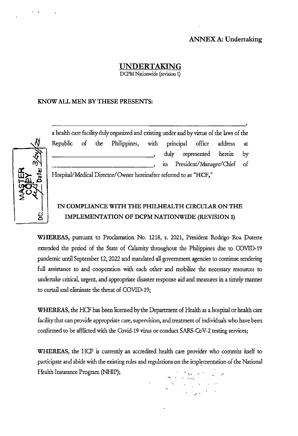### **ANNEX A: Undertaking**

# **UNDERTAKING**

DCPM Nationwide (revision 1)

#### **KNOW ALL MEN BY THESE PRESENTS:**



..

a health care facility duly organized and existing under and by virrue of the laws of the Republic of the Philippines, with principal office address at duly represented herein by 1ts President/Manager/ Chief of Hospital/Medical Director/Owner hereinafter referred to as **"HCF,"** 

# **IN COMPLIANCE WITH THE PHILHEALTH CIRCULAR ON THE IMPLEMENTATION OF DCPM NATIONWIDE (REVISION 1)**

**WHEREAS,** pursuant to Proclamation No. 1218, s. 2021, President Rodrigo Roa Puterte extended the period of the State of Calamity throughout the Philippines due to COVID-19 pandemic until September 12, 2022 and mandated all government agencies to continue rendering full assistance to and cooperation with each other and mobilize the necessary resources to undertake critical, urgent, and appropriate disaster response aid and measures in a timely manner to curtail and eliminate the threat of COVID-19;

**WHEREAS,** the HCF has been licensed by the Department of Health as a hospital or health care facility that can provide appropriate care, supervision, and treatment of individuals who have been confinned to be afflicted with the Covid-19 virus or conduct SARS-CoV-2 testing services;

**WHEREAS,** the HCF is currently an accredited health care provider who commits itself to participate and abide with the existing rules and regulations on the implementation of the National Health Insurance Program (NHIP); , and  $\alpha$   $\alpha$   $\beta$ 

. *r.*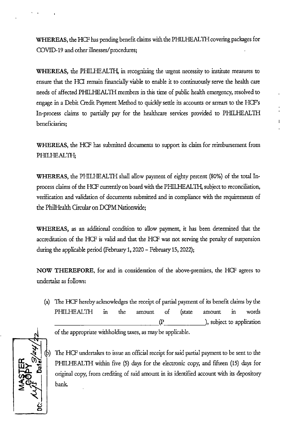**WHEREAS,** the HCF has pending benefit claims with the PHILHEAL 1H covering packages for COVID-19 and other illnesses/ procedures;

**WHEREAS,** the PHILHEALTH, in recognizing the urgent necessity to institute measures to ensure that the HO remain financially viable to enable it to continuously serve the health care needs of affected PHILHEAL 1H members in this time of public health emergency, resolved to engage in a Debit Credit Payment Method to quickly settle its accounts or arrears to the HCF's In-process claims to partially pay for the healthcare services provided to PHILHEAL1H beneficiaries;

**WHEREAS,** the HCF has submitted documents to support its claim for reimbursement from PHILHEAL1H;

**WHEREAS,** the PHILHEAL1H shall allow payment of eighty percent (80%) of the total Inprocess claims of the HCF currently on board with the PHILHEAL 1H, subject to reconciliation, verification and validation of documents submitted and in compliance with the requirements of the Phi!Health Circular on DCPM Nationwide;

**WHEREAS,** as an additional condition to allow payment, it has been determined that the accreditation of the HCF is valid and that the HCF was not serving the penalty of suspension during the applicable period (February 1, 2020 - February 15, 2022);

**NOW THEREFORE,** for and in consideration of the above-premises, the HCF agrees to undertake as follows:

(a) The HCF hereby acknowledges the receipt of partial payment of its benefit claims by the PHILHEALTH in the amount of (state amount in words \_\_\_\_\_\_\_\_\_\_\_\_\_\_\_ (P \_\_\_\_\_ --', subject to application

of the appropriate withholding taxes, as may be applicable.



 $\mathbf{r} = \mathbf{r}^{\top}$ 

The HCF undertakes to issue an official receipt for said partial payment to be sent to the PHILHEALTH within five (5) days for the electronic copy, and fifteen (15) days for original copy, from crediting of said amount in its identified account with its depository bank.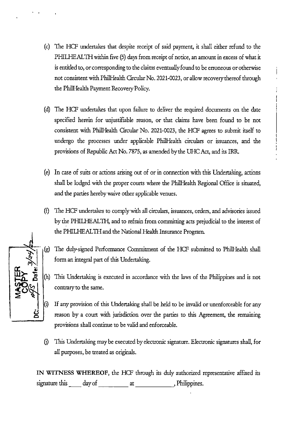- (c) The HCF undertakes that despite receipt of said payment, it shall either refund to the PHILHEALTH within five (5) days from receipt of notice, an amount in excess of what it is entitled to, or corresponding to the claims eventually found to be erroneous or otherwise not consistent with Phi!Health Circular No. 2021-0023, or allow recovery thereof through the Phi!Health Payment Recovery Policy.
- (d) The HCF undertakes that upon failure to deliver the required documents on the date specified herein for unjustifiable reason, or that claims have been found to be not consistent with Phi!Health Circular No. 2021-0023, the HCF agrees to submit itself to undergo the processes under applicable Phi!Health circulars or issuances, and the provisions of Republic Act No. 7875, as amended by the UHC Act, and its IRR
- (e) In case of suits or actions arising out of or in connection with this Undertaking, actions shall be lodged with the proper courts where the Phi!Health Regional Office is situated, and the parties hereby waive other applicable venues.
- (f) The HCF undertakes to comply with all circulars, issuances, orders, and advisories issued by the PHILHEAL TH, and to refrain from committing acts prejudicial to the interest of the PHILHEALTH and the National Health Insurance Program.
- The duly-signed Performance Commitment of the HCF submitted to Phi!Health shall form an integral part of this Undertaking.
	- This Undertaking is executed in accordance with the laws of the Philippines and is not contrary to the same.
	- If any provision of this Undertaking shall be held to be invalid or unenforceable for any reason by a court with jurisdiction over the parties to this Agreement, the remaining provisions shall continue to be valid and enforceable.
	- 0} This Undertaking may be executed by electronic signature. Electronic signatures shall, for all purposes, be treated as originals.

**IN WITNESS WHEREOF,** the HCF through its duly authorized representative affixed its signature this day of at , Philippines.

 $\mathcal{L}(\mathbf{r})$